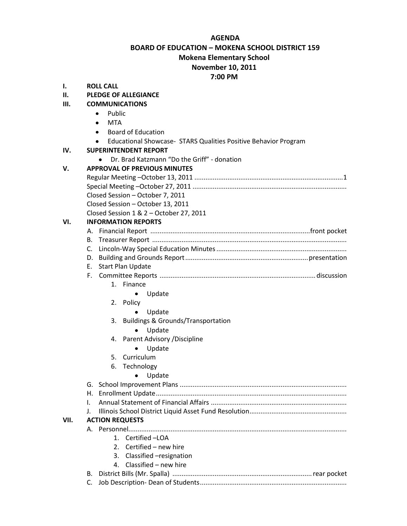## **AGENDA**

## **BOARD OF EDUCATION – MOKENA SCHOOL DISTRICT 159 Mokena Elementary School November 10, 2011**

**7:00 PM**

| Ι.<br>П. | <b>ROLL CALL</b><br><b>PLEDGE OF ALLEGIANCE</b>                      |
|----------|----------------------------------------------------------------------|
| Ш.       | <b>COMMUNICATIONS</b>                                                |
|          | Public<br>٠                                                          |
|          | <b>MTA</b><br>$\bullet$                                              |
|          | <b>Board of Education</b><br>٠                                       |
|          | Educational Showcase- STARS Qualities Positive Behavior Program<br>٠ |
| IV.      | <b>SUPERINTENDENT REPORT</b>                                         |
|          | Dr. Brad Katzmann "Do the Griff" - donation                          |
| v.       | <b>APPROVAL OF PREVIOUS MINUTES</b>                                  |
|          |                                                                      |
|          |                                                                      |
|          | Closed Session - October 7, 2011                                     |
|          | Closed Session - October 13, 2011                                    |
|          | Closed Session 1 & 2 - October 27, 2011                              |
| VI.      | <b>INFORMATION REPORTS</b>                                           |
|          |                                                                      |
|          |                                                                      |
|          |                                                                      |
|          |                                                                      |
|          | <b>Start Plan Update</b><br>E.,                                      |
|          |                                                                      |
|          | 1. Finance                                                           |
|          | Update<br>٠                                                          |
|          | 2. Policy                                                            |
|          | Update<br>٠                                                          |
|          | 3. Buildings & Grounds/Transportation                                |
|          | Update<br>$\bullet$                                                  |
|          | 4. Parent Advisory / Discipline                                      |
|          | Update                                                               |
|          | 5. Curriculum                                                        |
|          | 6.<br>Technology                                                     |
|          | Update<br>$\bullet$                                                  |
|          |                                                                      |
|          | Н.                                                                   |
|          | I.                                                                   |
|          | J.                                                                   |
| VII.     | <b>ACTION REQUESTS</b>                                               |
|          |                                                                      |
|          | 1. Certified - LOA                                                   |
|          | 2. Certified - new hire                                              |
|          | 3. Classified -resignation                                           |
|          | 4. Classified - new hire                                             |
|          | В.                                                                   |
|          | C.                                                                   |